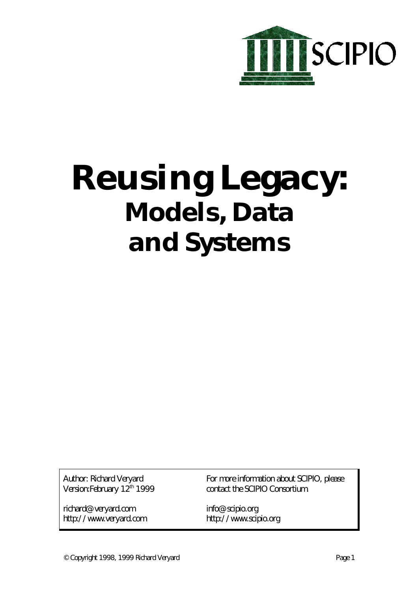

# **Reusing Legacy: Models, Data and Systems**

Author: Richard Veryard Version:February 12th 1999

richard@veryard.com http://www.veryard.com For more information about SCIPIO, please contact the SCIPIO Consortium.

info@scipio.org http://www.scipio.org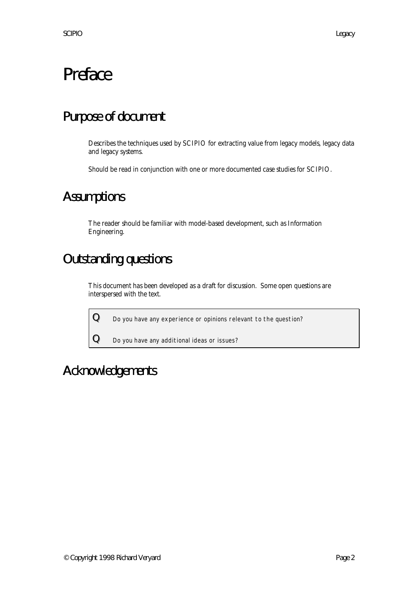# Preface

### Purpose of document

Describes the techniques used by SCIPIO for extracting value from legacy models, legacy data and legacy systems.

Should be read in conjunction with one or more documented case studies for SCIPIO.

### **Assumptions**

The reader should be familiar with model-based development, such as Information Engineering.

### Outstanding questions

This document has been developed as a draft for discussion. Some open questions are interspersed with the text.

 ${\bf Q}$  Do you have any experience or opinions relevant to the question?

 ${\bf Q}$   $\hskip1mm$  Do you have any additional ideas or issues?

### Acknowledgements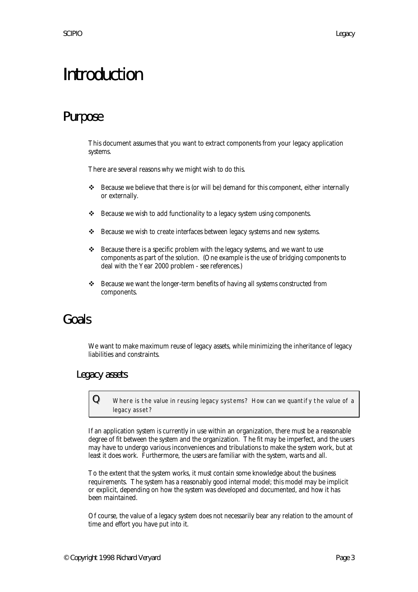# Introduction

### Purpose

This document assumes that you want to extract components from your legacy application systems.

There are several reasons why we might wish to do this.

- v Because we believe that there is (or will be) demand for this component, either internally or externally.
- $\triangleleft$  Because we wish to add functionality to a legacy system using components.
- v Because we wish to create interfaces between legacy systems and new systems.
- $\triangleleft$  Because there is a specific problem with the legacy systems, and we want to use components as part of the solution. (One example is the use of bridging components to deal with the Year 2000 problem - see references.)
- $\cdot \cdot$  Because we want the longer-term benefits of having all systems constructed from components.

### Goals

We want to make maximum reuse of legacy assets, while minimizing the inheritance of legacy liabilities and constraints.

#### Legacy assets

 ${\bf Q}\quad$  Where is the value in reusing legacy systems? How can we quantify the value of a legacy asset?

If an application system is currently in use within an organization, there must be a reasonable degree of fit between the system and the organization. The fit may be imperfect, and the users may have to undergo various inconveniences and tribulations to make the system work, but at least it does work. Furthermore, the users are familiar with the system, warts and all.

To the extent that the system works, it must contain some knowledge about the business requirements. The system has a reasonably good internal model; this model may be implicit or explicit, depending on how the system was developed and documented, and how it has been maintained.

Of course, the value of a legacy system does not necessarily bear any relation to the amount of time and effort you have put into it.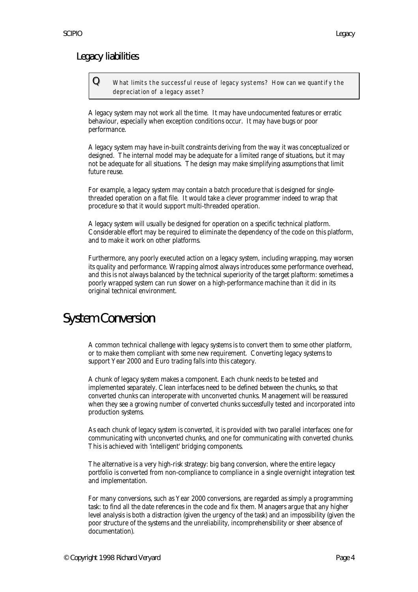#### Legacy liabilities

 ${\bf Q}\equiv$  What limits the successful reuse of legacy systems? How can we quantify the depreciation of a legacy asset?

A legacy system may not work all the time. It may have undocumented features or erratic behaviour, especially when exception conditions occur. It may have bugs or poor performance.

A legacy system may have in-built constraints deriving from the way it was conceptualized or designed. The internal model may be adequate for a limited range of situations, but it may not be adequate for all situations. The design may make simplifying assumptions that limit future reuse.

For example, a legacy system may contain a batch procedure that is designed for singlethreaded operation on a flat file. It would take a clever programmer indeed to wrap that procedure so that it would support multi-threaded operation.

A legacy system will usually be designed for operation on a specific technical platform. Considerable effort may be required to eliminate the dependency of the code on this platform, and to make it work on other platforms.

Furthermore, any poorly executed action on a legacy system, including wrapping, may worsen its quality and performance. Wrapping almost always introduces some performance overhead, and this is not always balanced by the technical superiority of the target plaftorm: sometimes a poorly wrapped system can run slower on a high-performance machine than it did in its original technical environment.

### System Conversion

A common technical challenge with legacy systems is to convert them to some other platform, or to make them compliant with some new requirement. Converting legacy systems to support Year 2000 and Euro trading falls into this category.

A chunk of legacy system makes a component. Each chunk needs to be tested and implemented separately. Clean interfaces need to be defined between the chunks, so that converted chunks can interoperate with unconverted chunks. Management will be reassured when they see a growing number of converted chunks successfully tested and incorporated into production systems.

As each chunk of legacy system is converted, it is provided with two parallel interfaces: one for communicating with unconverted chunks, and one for communicating with converted chunks. This is achieved with 'intelligent' bridging components.

The alternative is a very high-risk strategy: big bang conversion, where the entire legacy portfolio is converted from non-compliance to compliance in a single overnight integration test and implementation.

For many conversions, such as Year 2000 conversions, are regarded as simply a programming task: to find all the date references in the code and fix them. Managers argue that any higher level analysis is both a distraction (given the urgency of the task) and an impossibility (given the poor structure of the systems and the unreliability, incomprehensibility or sheer absence of documentation).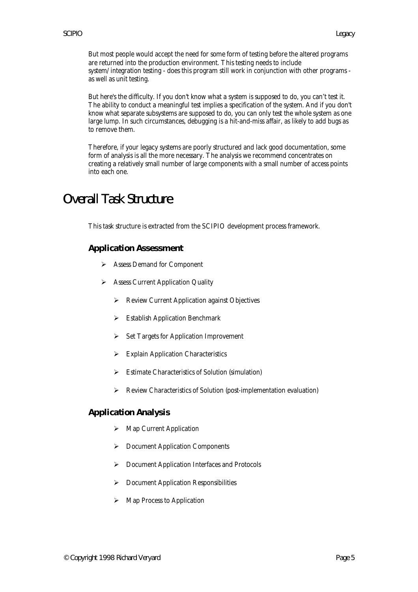But most people would accept the need for some form of testing before the altered programs are returned into the production environment. This testing needs to include system/integration testing - does this program still work in conjunction with other programs as well as unit testing.

But here's the difficulty. If you don't know what a system is supposed to do, you can't test it. The ability to conduct a meaningful test implies a specification of the system. And if you don't know what separate subsystems are supposed to do, you can only test the whole system as one large lump. In such circumstances, debugging is a hit-and-miss affair, as likely to add bugs as to remove them.

Therefore, if your legacy systems are poorly structured and lack good documentation, some form of analysis is all the more necessary. The analysis we recommend concentrates on creating a relatively small number of large components with a small number of access points into each one.

### Overall Task Structure

This task structure is extracted from the SCIPIO development process framework.

#### **Application Assessment**

- ÿ Assess Demand for Component
- > Assess Current Application Quality
	- $\triangleright$  Review Current Application against Objectives
	- $\triangleright$  Establish Application Benchmark
	- $\triangleright$  Set Targets for Application Improvement
	- $\triangleright$  Explain Application Characteristics
	- $\triangleright$  Estimate Characteristics of Solution (simulation)
	- $\triangleright$  Review Characteristics of Solution (post-implementation evaluation)

#### **Application Analysis**

- $\triangleright$  Map Current Application
- $\triangleright$  Document Application Components
- ÿ Document Application Interfaces and Protocols
- $\triangleright$  Document Application Responsibilities
- $\triangleright$  Map Process to Application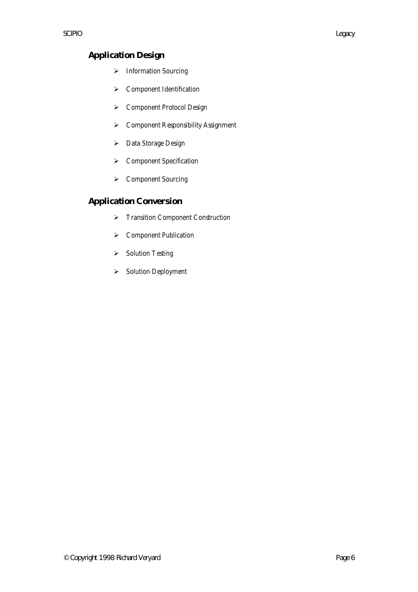#### **Application Design**

- $\blacktriangleright$  Information Sourcing
- $\triangleright$  Component Identification
- ÿ Component Protocol Design
- ÿ Component Responsibility Assignment
- > Data Storage Design
- $\triangleright$  Component Specification
- ÿ Component Sourcing

#### **Application Conversion**

- **≻** Transition Component Construction
- ▶ Component Publication
- **►** Solution Testing
- ▶ Solution Deployment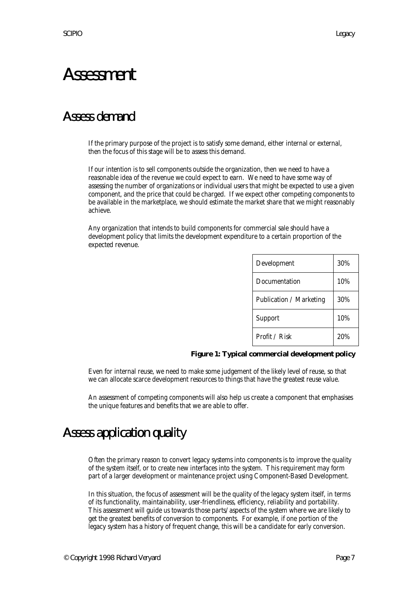## Assessment

### Assess demand

If the primary purpose of the project is to satisfy some demand, either internal or external, then the focus of this stage will be to assess this demand.

If our intention is to sell components outside the organization, then we need to have a reasonable idea of the revenue we could expect to earn. We need to have some way of assessing the number of organizations or individual users that might be expected to use a given component, and the price that could be charged. If we expect other competing components to be available in the marketplace, we should estimate the market share that we might reasonably achieve.

Any organization that intends to build components for commercial sale should have a development policy that limits the development expenditure to a certain proportion of the expected revenue.

| Development             | 30% |
|-------------------------|-----|
| Documentation           | 10% |
| Publication / Marketing | 30% |
| Support                 | 10% |
| Profit / Risk           | 20% |

#### **Figure 1: Typical commercial development policy**

Even for internal reuse, we need to make some judgement of the likely level of reuse, so that we can allocate scarce development resources to things that have the greatest reuse value.

An assessment of competing components will also help us create a component that emphasises the unique features and benefits that we are able to offer.

### Assess application quality

Often the primary reason to convert legacy systems into components is to improve the quality of the system itself, or to create new interfaces into the system. This requirement may form part of a larger development or maintenance project using Component-Based Development.

In this situation, the focus of assessment will be the quality of the legacy system itself, in terms of its functionality, maintainability, user-friendliness, efficiency, reliability and portability. This assessment will guide us towards those parts/aspects of the system where we are likely to get the greatest benefits of conversion to components. For example, if one portion of the legacy system has a history of frequent change, this will be a candidate for early conversion.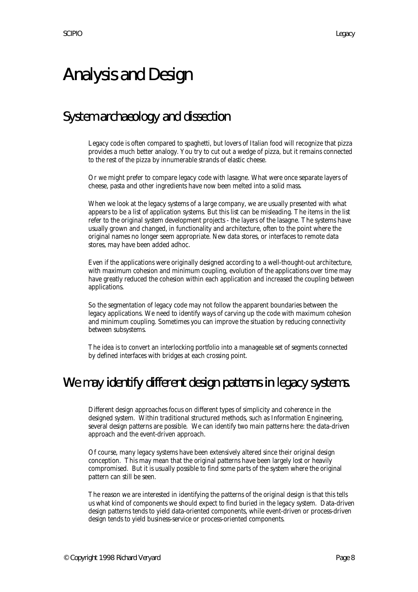# Analysis and Design

### System archaeology and dissection

Legacy code is often compared to spaghetti, but lovers of Italian food will recognize that pizza provides a much better analogy. You try to cut out a wedge of pizza, but it remains connected to the rest of the pizza by innumerable strands of elastic cheese.

Or we might prefer to compare legacy code with lasagne. What were once separate layers of cheese, pasta and other ingredients have now been melted into a solid mass.

When we look at the legacy systems of a large company, we are usually presented with what appears to be a list of application systems. But this list can be misleading. The items in the list refer to the original system development projects - the layers of the lasagne. The systems have usually grown and changed, in functionality and architecture, often to the point where the original names no longer seem appropriate. New data stores, or interfaces to remote data stores, may have been added adhoc.

Even if the applications were originally designed according to a well-thought-out architecture, with maximum cohesion and minimum coupling, evolution of the applications over time may have greatly reduced the cohesion within each application and increased the coupling between applications.

So the segmentation of legacy code may not follow the apparent boundaries between the legacy applications. We need to identify ways of carving up the code with maximum cohesion and minimum coupling. Sometimes you can improve the situation by reducing connectivity between subsystems.

The idea is to convert an interlocking portfolio into a manageable set of segments connected by defined interfaces with bridges at each crossing point.

### We may identify different design patterns in legacy systems.

Different design approaches focus on different types of simplicity and coherence in the designed system. Within traditional structured methods, such as Information Engineering, several design patterns are possible. We can identify two main patterns here: the data-driven approach and the event-driven approach.

Of course, many legacy systems have been extensively altered since their original design conception. This may mean that the original patterns have been largely lost or heavily compromised. But it is usually possible to find some parts of the system where the original pattern can still be seen.

The reason we are interested in identifying the patterns of the original design is that this tells us what kind of components we should expect to find buried in the legacy system. Data-driven design patterns tends to yield data-oriented components, while event-driven or process-driven design tends to yield business-service or process-oriented components.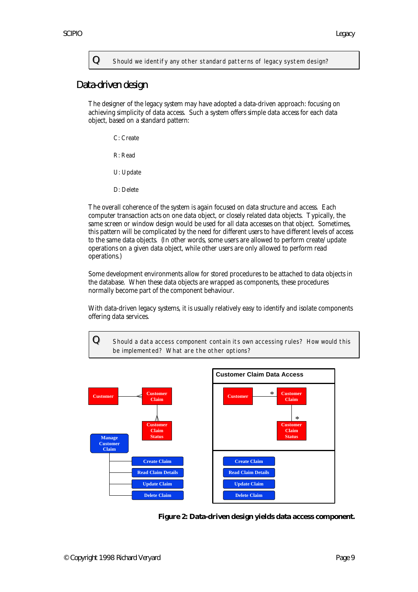${\bf Q}\quad$  Should we identify any other standard patterns of legacy system design?

#### Data-driven design

The designer of the legacy system may have adopted a data-driven approach: focusing on achieving simplicity of data access. Such a system offers simple data access for each data object, based on a standard pattern:

C: Create

R: Read

U: Update

D: Delete

The overall coherence of the system is again focused on data structure and access. Each computer transaction acts on one data object, or closely related data objects. Typically, the same screen or window design would be used for all data accesses on that object. Sometimes, this pattern will be complicated by the need for different users to have different levels of access to the same data objects. (In other words, some users are allowed to perform create/update operations on a given data object, while other users are only allowed to perform read operations.)

Some development environments allow for stored procedures to be attached to data objects in the database. When these data objects are wrapped as components, these procedures normally become part of the component behaviour.

With data-driven legacy systems, it is usually relatively easy to identify and isolate components offering data services.

 ${\bf Q}\quad$  Should a data access component contain its own accessing rules? How would this be implemented? What are the other options?



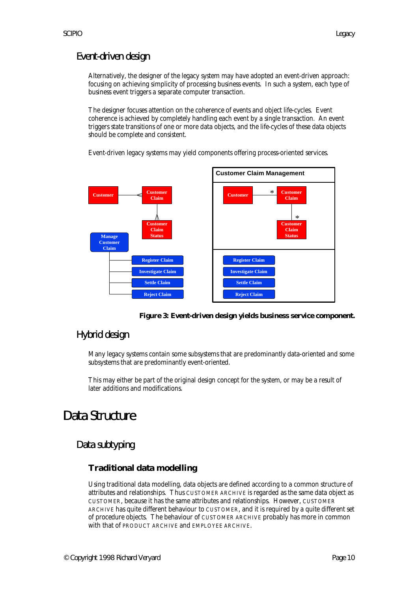#### Event-driven design

Alternatively, the designer of the legacy system may have adopted an event-driven approach: focusing on achieving simplicity of processing business events. In such a system, each type of business event triggers a separate computer transaction.

The designer focuses attention on the coherence of events and object life-cycles. Event coherence is achieved by completely handling each event by a single transaction. An event triggers state transitions of one or more data objects, and the life-cycles of these data objects should be complete and consistent.

Event-driven legacy systems may yield components offering process-oriented services.





#### Hybrid design

Many legacy systems contain some subsystems that are predominantly data-oriented and some subsystems that are predominantly event-oriented.

This may either be part of the original design concept for the system, or may be a result of later additions and modifications.

### Data Structure

#### Data subtyping

#### **Traditional data modelling**

Using traditional data modelling, data objects are defined according to a common structure of attributes and relationships. Thus CUSTOMER ARCHIVE is regarded as the same data object as CUSTOMER, because it has the same attributes and relationships. However, CUSTOMER ARCHIVE has quite different behaviour to CUSTOMER, and it is required by a quite different set of procedure objects. The behaviour of CUSTOMER ARCHIVE probably has more in common with that of PRODUCT ARCHIVE and EMPLOYEE ARCHIVE.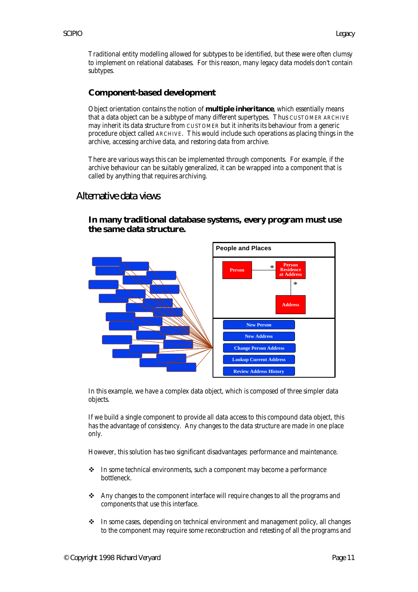Traditional entity modelling allowed for subtypes to be identified, but these were often clumsy to implement on relational databases. For this reason, many legacy data models don't contain subtypes.

#### **Component-based development**

Object orientation contains the notion of **multiple inheritance**, which essentially means that a data object can be a subtype of many different supertypes. Thus CUSTOMER ARCHIVE may inherit its data structure from CUSTOMER but it inherits its behaviour from a generic procedure object called ARCHIVE. This would include such operations as placing things in the archive, accessing archive data, and restoring data from archive.

There are various ways this can be implemented through components. For example, if the archive behaviour can be suitably generalized, it can be wrapped into a component that is called by anything that requires archiving.

#### Alternative data views



#### **In many traditional database systems, every program must use the same data structure.**

In this example, we have a complex data object, which is composed of three simpler data objects.

If we build a single component to provide all data access to this compound data object, this has the advantage of consistency. Any changes to the data structure are made in one place only.

However, this solution has two significant disadvantages: performance and maintenance.

- $\cdot$  In some technical environments, such a component may become a performance bottleneck.
- $\triangleleft$  Any changes to the component interface will require changes to all the programs and components that use this interface.
- $\div$  In some cases, depending on technical environment and management policy, all changes to the component may require some reconstruction and retesting of all the programs and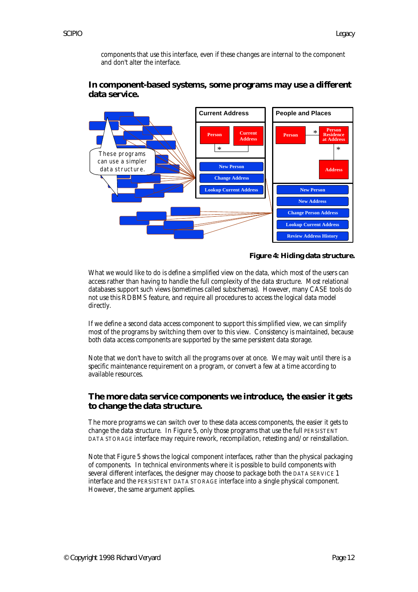components that use this interface, even if these changes are internal to the component and don't alter the interface.



#### **In component-based systems, some programs may use a different data service.**

#### **Figure 4: Hiding data structure.**

What we would like to do is define a simplified view on the data, which most of the users can access rather than having to handle the full complexity of the data structure. Most relational databases support such views (sometimes called subschemas). However, many CASE tools do not use this RDBMS feature, and require all procedures to access the logical data model directly.

If we define a second data access component to support this simplified view, we can simplify most of the programs by switching them over to this view. Consistency is maintained, because both data access components are supported by the same persistent data storage.

Note that we don't have to switch all the programs over at once. We may wait until there is a specific maintenance requirement on a program, or convert a few at a time according to available resources.

#### **The more data service components we introduce, the easier it gets to change the data structure.**

The more programs we can switch over to these data access components, the easier it gets to change the data structure. In Figure 5, only those programs that use the full PERSISTENT DATA STORAGE interface may require rework, recompilation, retesting and/or reinstallation.

Note that Figure 5 shows the logical component interfaces, rather than the physical packaging of components. In technical environments where it is possible to build components with several different interfaces, the designer may choose to package both the DATA SERVICE 1 interface and the PERSISTENT DATA STORAGE interface into a single physical component. However, the same argument applies.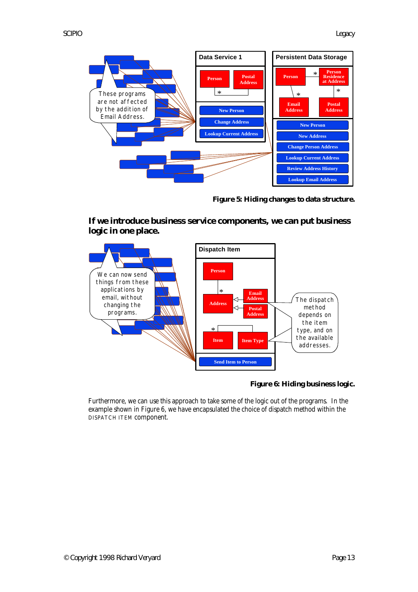

**Figure 5: Hiding changes to data structure.**





#### **Figure 6: Hiding business logic.**

Furthermore, we can use this approach to take some of the logic out of the programs. In the example shown in Figure 6, we have encapsulated the choice of dispatch method within the DISPATCH ITEM component.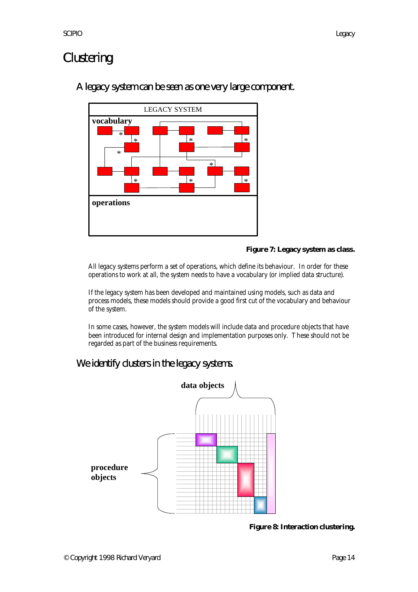### **Clustering**

#### A legacy system can be seen as one very large component.



#### **Figure 7: Legacy system as class.**

All legacy systems perform a set of operations, which define its behaviour. In order for these operations to work at all, the system needs to have a vocabulary (or implied data structure).

If the legacy system has been developed and maintained using models, such as data and process models, these models should provide a good first cut of the vocabulary and behaviour of the system.

In some cases, however, the system models will include data and procedure objects that have been introduced for internal design and implementation purposes only. These should not be regarded as part of the business requirements.

#### We identify clusters in the legacy systems.



**Figure 8: Interaction clustering.**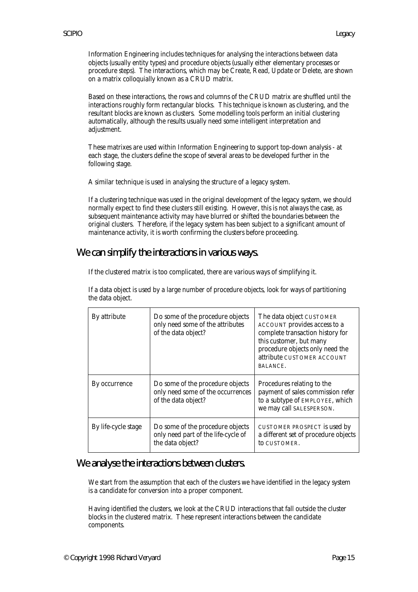Information Engineering includes techniques for analysing the interactions between data objects (usually entity types) and procedure objects (usually either elementary processes or procedure steps). The interactions, which may be Create, Read, Update or Delete, are shown on a matrix colloquially known as a CRUD matrix.

Based on these interactions, the rows and columns of the CRUD matrix are shuffled until the interactions roughly form rectangular blocks. This technique is known as clustering, and the resultant blocks are known as clusters. Some modelling tools perform an initial clustering automatically, although the results usually need some intelligent interpretation and adjustment.

These matrixes are used within Information Engineering to support top-down analysis - at each stage, the clusters define the scope of several areas to be developed further in the following stage.

A similar technique is used in analysing the structure of a legacy system.

If a clustering technique was used in the original development of the legacy system, we should normally expect to find these clusters still existing. However, this is not always the case, as subsequent maintenance activity may have blurred or shifted the boundaries between the original clusters. Therefore, if the legacy system has been subject to a significant amount of maintenance activity, it is worth confirming the clusters before proceeding.

#### We can simplify the interactions in various ways.

If the clustered matrix is too complicated, there are various ways of simplifying it.

| If a data object is used by a large number of procedure objects, look for ways of partitioning<br>the data object. |                                                           |  |
|--------------------------------------------------------------------------------------------------------------------|-----------------------------------------------------------|--|
| <b>By attribute</b>                                                                                                | Do some of the procedure objects The data object CUSTOMER |  |

| By attribute        | Do some of the procedure objects<br>only need some of the attributes<br>of the data object?  | The data object CUSTOMER<br>ACCOUNT provides access to a<br>complete transaction history for<br>this customer, but many<br>procedure objects only need the<br>attribute CUSTOMER ACCOUNT<br>BALANCE. |
|---------------------|----------------------------------------------------------------------------------------------|------------------------------------------------------------------------------------------------------------------------------------------------------------------------------------------------------|
| By occurrence       | Do some of the procedure objects<br>only need some of the occurrences<br>of the data object? | Procedures relating to the<br>payment of sales commission refer<br>to a subtype of EMPLOYEE, which<br>we may call SALESPERSON.                                                                       |
| By life-cycle stage | Do some of the procedure objects<br>only need part of the life-cycle of<br>the data object?  | CUSTOMER PROSPECT is used by<br>a different set of procedure objects<br>to CUSTOMER.                                                                                                                 |

#### We analyse the interactions between clusters.

We start from the assumption that each of the clusters we have identified in the legacy system is a candidate for conversion into a proper component.

Having identified the clusters, we look at the CRUD interactions that fall outside the cluster blocks in the clustered matrix. These represent interactions between the candidate components.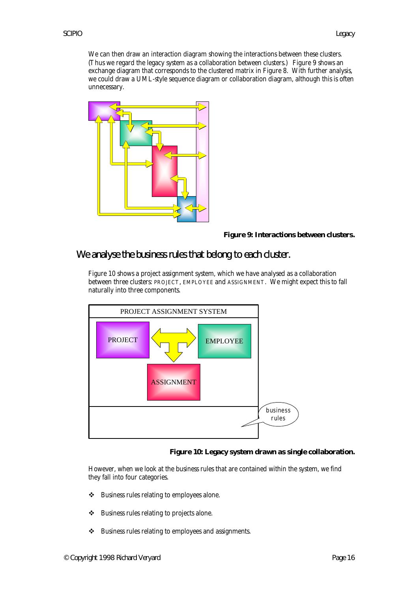We can then draw an interaction diagram showing the interactions between these clusters. (Thus we regard the legacy system as a collaboration between clusters.) Figure 9 shows an exchange diagram that corresponds to the clustered matrix in Figure 8. With further analysis, we could draw a UML-style sequence diagram or collaboration diagram, although this is often unnecessary.



#### **Figure 9: Interactions between clusters.**

#### We analyse the business rules that belong to each cluster.

Figure 10 shows a project assignment system, which we have analysed as a collaboration between three clusters: PROJECT, EMPLOYEE and ASSIGNMENT. We might expect this to fall naturally into three components.



#### **Figure 10: Legacy system drawn as single collaboration.**

However, when we look at the business rules that are contained within the system, we find they fall into four categories.

- \* Business rules relating to employees alone.
- $\div$  Business rules relating to projects alone.
- \* Business rules relating to employees and assignments.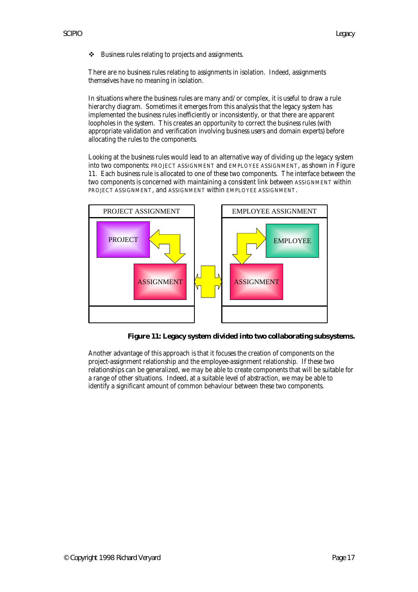❖ Business rules relating to projects and assignments.

There are no business rules relating to assignments in isolation. Indeed, assignments themselves have no meaning in isolation.

In situations where the business rules are many and/or complex, it is useful to draw a rule hierarchy diagram. Sometimes it emerges from this analysis that the legacy system has implemented the business rules inefficiently or inconsistently, or that there are apparent loopholes in the system. This creates an opportunity to correct the business rules (with appropriate validation and verification involving business users and domain experts) before allocating the rules to the components.

Looking at the business rules would lead to an alternative way of dividing up the legacy system into two components: PROJECT ASSIGNMENT and EMPLOYEE ASSIGNMENT, as shown in Figure 11. Each business rule is allocated to one of these two components. The interface between the two components is concerned with maintaining a consistent link between ASSIGNMENT within PROJECT ASSIGNMENT, and ASSIGNMENT within EMPLOYEE ASSIGNMENT.



**Figure 11: Legacy system divided into two collaborating subsystems.**

Another advantage of this approach is that it focuses the creation of components on the project-assignment relationship and the employee-assignment relationship. If these two relationships can be generalized, we may be able to create components that will be suitable for a range of other situations. Indeed, at a suitable level of abstraction, we may be able to identify a significant amount of common behaviour between these two components.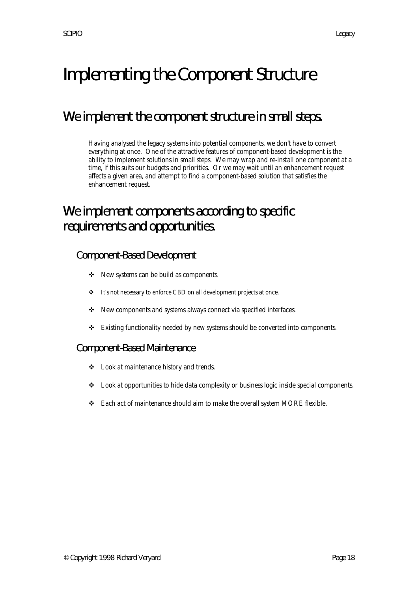# Implementing the Component Structure

### We implement the component structure in small steps.

Having analysed the legacy systems into potential components, we don't have to convert everything at once. One of the attractive features of component-based development is the ability to implement solutions in small steps. We may wrap and re-install one component at a time, if this suits our budgets and priorities. Or we may wait until an enhancement request affects a given area, and attempt to find a component-based solution that satisfies the enhancement request.

### We implement components according to specific requirements and opportunities.

#### Component-Based Development

- ◆ New systems can be build as components.
- \* It's not necessary to enforce CBD on all development projects at once.
- \* New components and systems always connect via specified interfaces.
- $\div$  Existing functionality needed by new systems should be converted into components.

#### Component-Based Maintenance

- v Look at maintenance history and trends.
- v Look at opportunities to hide data complexity or business logic inside special components.
- \* Each act of maintenance should aim to make the overall system MORE flexible.